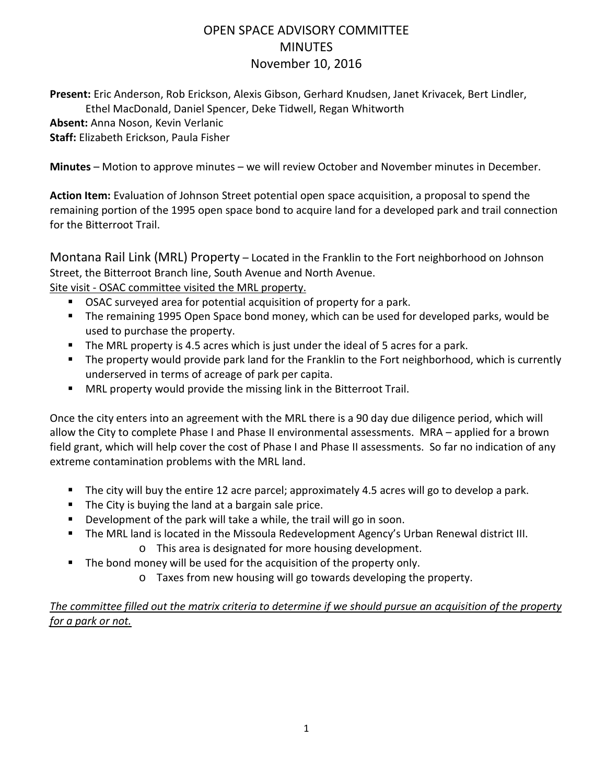## OPEN SPACE ADVISORY COMMITTEE **MINUTES** November 10, 2016

**Present:** Eric Anderson, Rob Erickson, Alexis Gibson, Gerhard Knudsen, Janet Krivacek, Bert Lindler, Ethel MacDonald, Daniel Spencer, Deke Tidwell, Regan Whitworth **Absent:** Anna Noson, Kevin Verlanic **Staff:** Elizabeth Erickson, Paula Fisher

**Minutes** – Motion to approve minutes – we will review October and November minutes in December.

**Action Item:** Evaluation of Johnson Street potential open space acquisition, a proposal to spend the remaining portion of the 1995 open space bond to acquire land for a developed park and trail connection for the Bitterroot Trail.

Montana Rail Link (MRL) Property – Located in the Franklin to the Fort neighborhood on Johnson Street, the Bitterroot Branch line, South Avenue and North Avenue.

## Site visit - OSAC committee visited the MRL property.

- OSAC surveyed area for potential acquisition of property for a park.
- The remaining 1995 Open Space bond money, which can be used for developed parks, would be used to purchase the property.
- The MRL property is 4.5 acres which is just under the ideal of 5 acres for a park.
- The property would provide park land for the Franklin to the Fort neighborhood, which is currently underserved in terms of acreage of park per capita.
- **MRL property would provide the missing link in the Bitterroot Trail.**

Once the city enters into an agreement with the MRL there is a 90 day due diligence period, which will allow the City to complete Phase I and Phase II environmental assessments. MRA – applied for a brown field grant, which will help cover the cost of Phase I and Phase II assessments. So far no indication of any extreme contamination problems with the MRL land.

- The city will buy the entire 12 acre parcel; approximately 4.5 acres will go to develop a park.
- The City is buying the land at a bargain sale price.
- **Development of the park will take a while, the trail will go in soon.**
- **The MRL land is located in the Missoula Redevelopment Agency's Urban Renewal district III.** 
	- o This area is designated for more housing development.
- The bond money will be used for the acquisition of the property only.
	- o Taxes from new housing will go towards developing the property.

*The committee filled out the matrix criteria to determine if we should pursue an acquisition of the property for a park or not.*